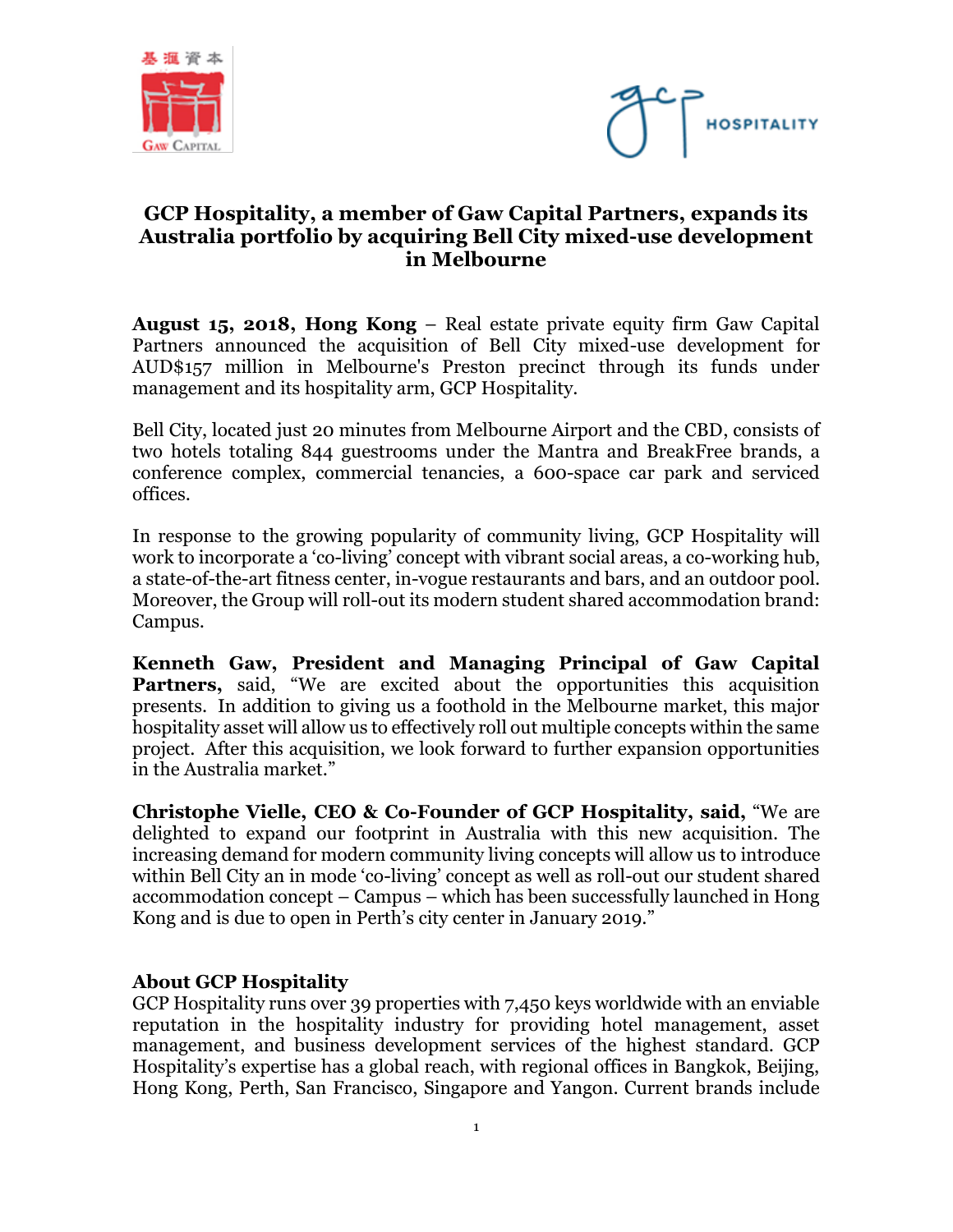



## **GCP Hospitality, a member of Gaw Capital Partners, expands its Australia portfolio by acquiring Bell City mixed-use development in Melbourne**

**August 15, 2018, Hong Kong** – Real estate private equity firm Gaw Capital Partners announced the acquisition of Bell City mixed-use development for AUD\$157 million in Melbourne's Preston precinct through its funds under management and its hospitality arm, GCP Hospitality.

Bell City, located just 20 minutes from Melbourne Airport and the CBD, consists of two hotels totaling 844 guestrooms under the Mantra and BreakFree brands, a conference complex, commercial tenancies, a 600-space car park and serviced offices.

In response to the growing popularity of community living, GCP Hospitality will work to incorporate a 'co-living' concept with vibrant social areas, a co-working hub, a state-of-the-art fitness center, in-vogue restaurants and bars, and an outdoor pool. Moreover, the Group will roll-out its modern student shared accommodation brand: Campus.

**Kenneth Gaw, President and Managing Principal of Gaw Capital Partners,** said, "We are excited about the opportunities this acquisition presents. In addition to giving us a foothold in the Melbourne market, this major hospitality asset will allow us to effectively roll out multiple concepts within the same project. After this acquisition, we look forward to further expansion opportunities in the Australia market."

**Christophe Vielle, CEO & Co-Founder of GCP Hospitality, said,** "We are delighted to expand our footprint in Australia with this new acquisition. The increasing demand for modern community living concepts will allow us to introduce within Bell City an in mode 'co-living' concept as well as roll-out our student shared accommodation concept – Campus – which has been successfully launched in Hong Kong and is due to open in Perth's city center in January 2019."

## **About GCP Hospitality**

GCP Hospitality runs over 39 properties with 7,450 keys worldwide with an enviable reputation in the hospitality industry for providing hotel management, asset management, and business development services of the highest standard. GCP Hospitality's expertise has a global reach, with regional offices in Bangkok, Beijing, Hong Kong, Perth, San Francisco, Singapore and Yangon. Current brands include